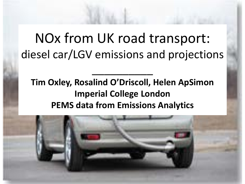NOx from UK road transport: diesel car/LGV emissions and projections

**Tim Oxley, Rosalind O'Driscoll, Helen ApSimon Imperial College London PEMS data from Emissions Analytics**

\_\_\_\_\_\_\_\_\_\_

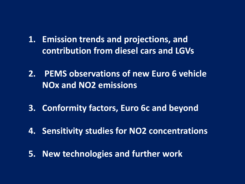- **1. Emission trends and projections, and contribution from diesel cars and LGVs**
- **2. PEMS observations of new Euro 6 vehicle NOx and NO2 emissions**
- **3. Conformity factors, Euro 6c and beyond**
- **4. Sensitivity studies for NO2 concentrations**
- **5. New technologies and further work**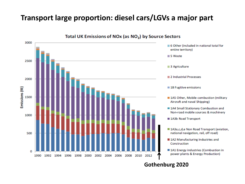#### **Transport large proportion: diesel cars/LGVs a major part**



**Gothenburg 2020**

Total UK Emissions of NOx (as NO<sub>2</sub>) by Source Sectors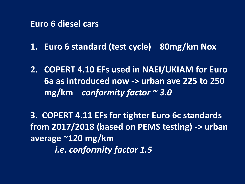#### **Euro 6 diesel cars**

**1. Euro 6 standard (test cycle) 80mg/km Nox**

**2. COPERT 4.10 EFs used in NAEI/UKIAM for Euro 6a as introduced now -> urban ave 225 to 250 mg/km** *conformity factor ~ 3.0*

**3. COPERT 4.11 EFs for tighter Euro 6c standards from 2017/2018 (based on PEMS testing) -> urban average ~120 mg/km** *i.e. conformity factor 1.5*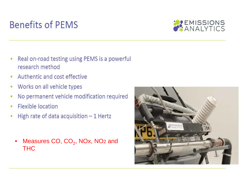# **Benefits of PEMS**



- Real on-road testing using PEMS is a powerful ۰ research method
- Authentic and cost effective
- Works on all vehicle types ۰
- No permanent vehicle modification required ۰
- Flexible location ۰
- High rate of data acquisition  $-1$  Hertz ۰
	- Measures CO,  $CO<sub>2</sub>$ , NOx, NO<sub>2</sub> and THC

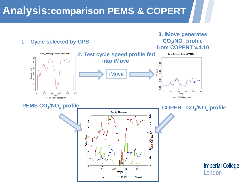## **Analysis:comparison PEMS & COPERT**

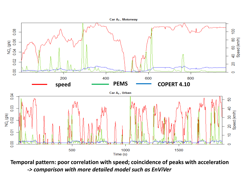

**Temporal pattern: poor correlation with speed; coincidence of peaks with acceleration** *-> comparison with more detailed model such as EnViVer*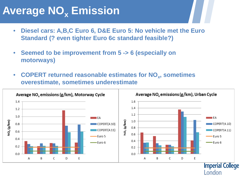# **Average NO<sub>x</sub> Emission**

- **Diesel cars: A,B,C Euro 6, D&E Euro 5: No vehicle met the Euro Standard (? even tighter Euro 6c standard feasible?)**
- **Seemed to be improvement from 5 -> 6 (especially on motorways)**
- **COPERT returned reasonable estimates for NO<sub>x</sub>, sometimes overestimate, sometimes underestimate**

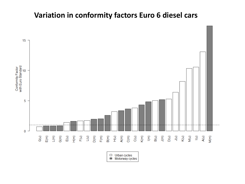#### **Variation in conformity factors Euro 6 diesel cars**



 $\Box$  Urban cycles Motorway cycles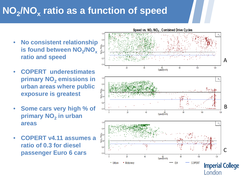## **NO2/NOx ratio as a function of speed**

- **No consistent relationship is found between NO<sub>2</sub>/NO<sub>x</sub> ratio and speed**
- **COPERT underestimates primary NO<sub>2</sub> emissions in urban areas where public exposure is greatest**
- **Some cars very high % of primary NO<sub>2</sub> in urban areas**
- **COPERT v4.11 assumes a ratio of 0.3 for diesel passenger Euro 6 cars**

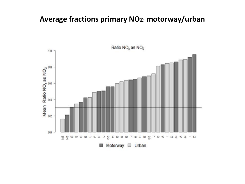#### **Average fractions primary NO2: motorway/urban**

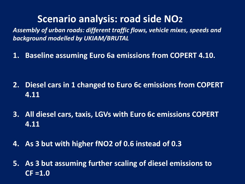### **Scenario analysis: road side NO2**

*Assembly of urban roads: different traffic flows, vehicle mixes, speeds and background modelled by UKIAM/BRUTAL*

**1. Baseline assuming Euro 6a emissions from COPERT 4.10.** 

- **2. Diesel cars in 1 changed to Euro 6c emissions from COPERT 4.11**
- **3. All diesel cars, taxis, LGVs with Euro 6c emissions COPERT 4.11**
- **4. As 3 but with higher fNO2 of 0.6 instead of 0.3**
- **5. As 3 but assuming further scaling of diesel emissions to CF =1.0**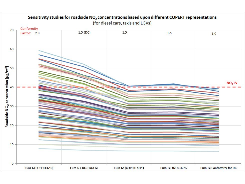